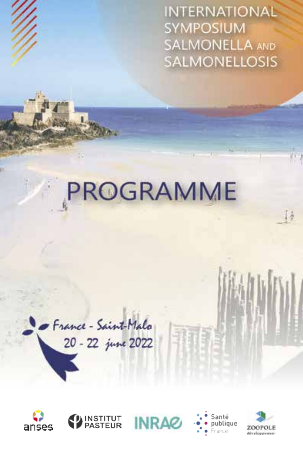**INTERNATIONAL SYMPOSIUM SALMONELLA AND SALMONELLOSIS** 

# PROGRAMME

France-Saint-Malo 20 - 22 june 2022











Đã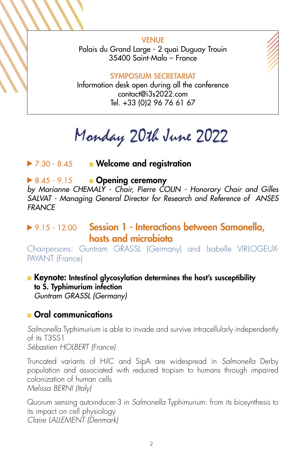VENUE Palais du Grand Large - 2 quai Duguay Trouin 35400 Saint-Malo – France

#### SYMPOSIUM SECRETARIAT

Information desk open during all the conference contact@i3s2022.com Tel. +33 (0)2 96 76 61 67

Monday 20th June 2022

▶ 7.30 - 8.45 ■ Welcome and registration

#### $\triangleright$  8.45 - 9.15 **Dening ceremony**

*by Marianne CHEMALY - Chair, Pierre COLIN - Honorary Chair and Gilles SALVAT - Managing General Director for Research and Reference of ANSES FRANCE* 

# ▶ 9.15 - 12.00 Session 1 - Interactions between Samonella, hosts and microbiota

Chairpersons: Guntram GRASSL (Germany) and Isabelle VIRLOGEUX-PAYANT (France)

■ Keynote: Intestinal glycosylation determines the host's susceptibility to S. Typhimurium infection *Guntram GRASSL (Germany)* 

#### ■ Oral communications

*Salmonella* Typhimurium is able to invade and survive intracellularly independently of its T3SS1 *Sébastien HOLBERT (France)*

Truncated variants of HilC and SipA are widespread in *Salmonella* Derby population and associated with reduced tropism to humans through impaired colonization of human cells *Melissa BERNI (Italy)*

Quorum sensing autoinducer-3 in *Salmonella* Typhimurium: from its biosynthesis to its impact on cell physiology *Claire LALLEMENT (Denmark)*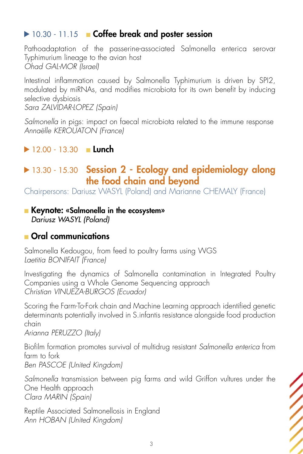# 10.30 - 11.15 ■ Coffee break and poster session

Pathoadaptation of the passerine-associated Salmonella enterica serovar Typhimurium lineage to the avian host *Ohad GAL-MOR (Israel)*

Intestinal inflammation caused by Salmonella Typhimurium is driven by SPI2, modulated by miRNAs, and modifies microbiota for its own benefit by inducing selective dysbiosis *Sara ZALVIDAR-LOPEZ (Spain)*

*Salmonella* in pigs: impact on faecal microbiota related to the immune response *Annaëlle KEROUATON (France)* 

#### $12.00 - 13.30$  Lunch

# ▶ 13.30 - 15.30 Session 2 - Ecology and epidemiology along the food chain and beyond

Chairpersons: Dariusz WASYL (Poland) and Marianne CHEMALY (France)

#### ■ Keynote: «Salmonella in the ecosystem» *Dariusz WASYL (Poland)*

# ■ Oral communications

Salmonella Kedougou, from feed to poultry farms using WGS *Laetitia BONIFAIT (France)*

Investigating the dynamics of Salmonella contamination in Integrated Poultry Companies using a Whole Genome Sequencing approach *Christian VINUEZA-BURGOS (Ecuador)*

Scoring the Farm-To-Fork chain and Machine Learning approach identified genetic determinants potentially involved in S.infantis resistance alongside food production chain

*Arianna PERUZZO (Italy)*

Biofilm formation promotes survival of multidrug resistant *Salmonella enterica* from farm to fork *Ben PASCOE (United Kingdom)*

*Salmonella* transmission between pig farms and wild Griffon vultures under the One Health approach *Clara MARIN (Spain)*

Reptile Associated Salmonellosis in England *Ann HOBAN (United Kingdom)*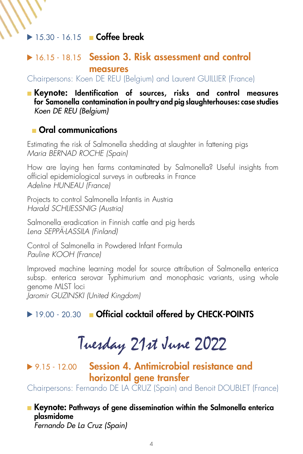#### 15.30 - 16.15 ■ Coffee break

#### ▶ 16.15 - 18.15 Session 3. Risk assessment and control measures

Chairpersons: Koen DE REU (Belgium) and Laurent GUILLIER (France)

■ Keynote: Identification of sources, risks and control measures for Samonella contamination in poultry and pig slaughterhouses: case studies *Koen DE REU (Belgium)* 

#### ■ Oral communications

Estimating the risk of Salmonella shedding at slaughter in fattening pigs *Maria BERNAD ROCHE (Spain)*

How are laying hen farms contaminated by Salmonella? Useful insights from official epidemiological surveys in outbreaks in France *Adeline HUNEAU (France)*

Projects to control Salmonella Infantis in Austria *Harald SCHLIESSNIG (Austria)*

Salmonella eradication in Finnish cattle and pig herds *Lena SEPPÄ-LASSILA (Finland)*

Control of Salmonella in Powdered Infant Formula *Pauline KOOH (France)*

Improved machine learning model for source attribution of Salmonella enterica subsp. enterica serovar Typhimurium and monophasic variants, using whole genome MLST loci *Jaromir GUZINSKI (United Kingdom)* 

▶ 19.00 - 20.30 ■ Official cocktail offered by CHECK-POINTS

# Tuesday 21st June 2022

▶ 9.15 - 12.00 Session 4. Antimicrobial resistance and horizontal gene transfer

Chairpersons: Fernando DE LA CRUZ (Spain) and Benoit DOUBLET (France)

■ Keynote: Pathways of gene dissemination within the Salmonella enterica plasmidome *Fernando De La Cruz (Spain)*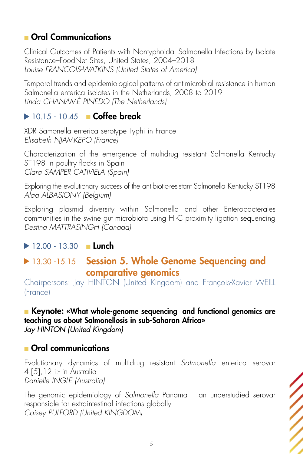# ■ Oral Communications

Clinical Outcomes of Patients with Nontyphoidal Salmonella Infections by Isolate Resistance–FoodNet Sites, United States, 2004–2018 *Louise FRANCOIS-WATKINS (United States of America)*

Temporal trends and epidemiological patterns of antimicrobial resistance in human Salmonella enterica isolates in the Netherlands, 2008 to 2019 *Linda CHANAMÉ PINEDO (The Netherlands)*

# $\blacktriangleright$  10.15 - 10.45 **■ Coffee break**

XDR Samonella enterica serotype Typhi in France *Elisabeth NJAMKEPO (France)* 

Characterization of the emergence of multidrug resistant Salmonella Kentucky ST198 in poultry flocks in Spain *Clara SAMPER CATIVIELA (Spain)*

Exploring the evolutionary success of the antibiotic-resistant Salmonella Kentucky ST198 *Alaa ALBASIONY (Belgium)*

Exploring plasmid diversity within Salmonella and other Enterobacterales communities in the swine gut microbiota using Hi-C proximity ligation sequencing *Destina MATTRASINGH (Canada)* 

# $12.00 - 13.30$  **Lunch**

# 13.30 -15.15 Session 5. Whole Genome Sequencing and comparative genomics

Chairpersons: Jay HINTON (United Kingdom) and François-Xavier WEILL (France)

# ■ Keynote: «What whole-genome sequencing and functional genomics are

teaching us about Salmonellosis in sub-Saharan Africa»

*Jay HINTON (United Kingdom)* 

# ■ Oral communications

Evolutionary dynamics of multidrug resistant *Salmonella* enterica serovar 4,[5],12:i:- in Australia *Danielle INGLE (Australia)*

The genomic epidemiology of *Salmonella* Panama – an understudied serovar responsible for extraintestinal infections globally *Caisey PULFORD (United KINGDOM)*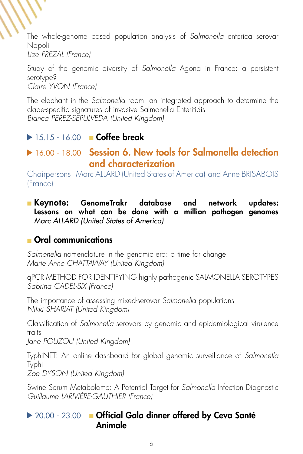The whole-genome based population analysis of *Salmonella* enterica serovar Napoli

*Lize FREZAL (France)*

Study of the genomic diversity of *Salmonella* Agona in France: a persistent serotype? *Claire YVON (France)*

The elephant in the *Salmonella* room: an integrated approach to determine the clade-specific signatures of invasive Salmonella Enteritidis *Blanca PEREZ-SEPULVEDA (United Kingdom)* 

# **► 15.15 - 16.00 ■ Coffee break**

# **16.00 - 18.00 Session 6. New tools for Salmonella detection** and characterization

Chairpersons: Marc ALLARD (United States of America) and Anne BRISABOIS (France)

#### ■ Keynote: GenomeTrakr database and network updates: Lessons on what can be done with a million pathogen genomes *Marc ALLARD (United States of America)*

# ■ Oral communications

*Salmonella* nomenclature in the genomic era: a time for change *Marie Anne CHATTAWAY (United Kingdom)*

qPCR METHOD FOR IDENTIFYING highly pathogenic SALMONELLA SEROTYPES *Sabrina CADEL-SIX (France)* 

The importance of assessing mixed-serovar *Salmonella* populations *Nikki SHARIAT (United Kingdom)*

Classification of *Salmonella* serovars by genomic and epidemiological virulence traits

*Jane POUZOU (United Kingdom)*

TyphiNET: An online dashboard for global genomic surveillance of *Salmonella*  Typhi

*Zoe DYSON (United Kingdom)*

Swine Serum Metabolome: A Potential Target for *Salmonella* Infection Diagnostic *Guillaume LARIVIÈRE-GAUTHIER (France)* 

# ▶ 20.00 - 23.00: ■ Official Gala dinner offered by Ceva Santé Animale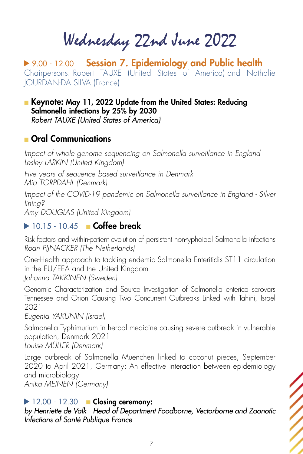Wednesday 22nd June 2022

▶ 9.00 - 12.00 Session 7. Epidemiology and Public health Chairpersons: Robert TAUXE (United States of America) and Nathalie JOURDAN-DA SILVA (France)

■ Keynote: May 11, 2022 Update from the United States: Reducing Salmonella infections by 25% by 2030 *Robert TAUXE (United States of America)* 

#### ■ Oral Communications

*Impact of whole genome sequencing on Salmonella surveillance in England Lesley LARKIN (United Kingdom)*

*Five years of sequence based surveillance in Denmark* 

*Mia TORPDAHL (Denmark)*

*Impact of the COVID-19 pandemic on Salmonella surveillance in England - Silver lining?* 

*Amy DOUGLAS (United Kingdom)* 

#### $\triangleright$  10.15 - 10.45 **Coffee break**

Risk factors and within-patient evolution of persistent non-typhoidal Salmonella infections *Roan PIJNACKER (The Netherlands)*

One-Health approach to tackling endemic Salmonella Enteritidis ST11 circulation in the EU/EEA and the United Kingdom *Johanna TAKKINEN (Sweden)*

Genomic Characterization and Source Investigation of Salmonella enterica serovars Tennessee and Orion Causing Two Concurrent Outbreaks Linked with Tahini, Israel 2021

*Eugenia YAKUNIN (Israel)*

Salmonella Typhimurium in herbal medicine causing severe outbreak in vulnerable population, Denmark 2021 *Louise MÜLLER (Denmark)*

Large outbreak of Salmonella Muenchen linked to coconut pieces, September 2020 to April 2021, Germany: An effective interaction between epidemiology and microbiology *Anika MEINEN (Germany)* 

#### $\blacktriangleright$  12.00 - 12.30 **Example Closing ceremony:**

*by Henriette de Valk - Head of Department Foodborne, Vectorborne and Zoonotic Infections of Santé Publique France*